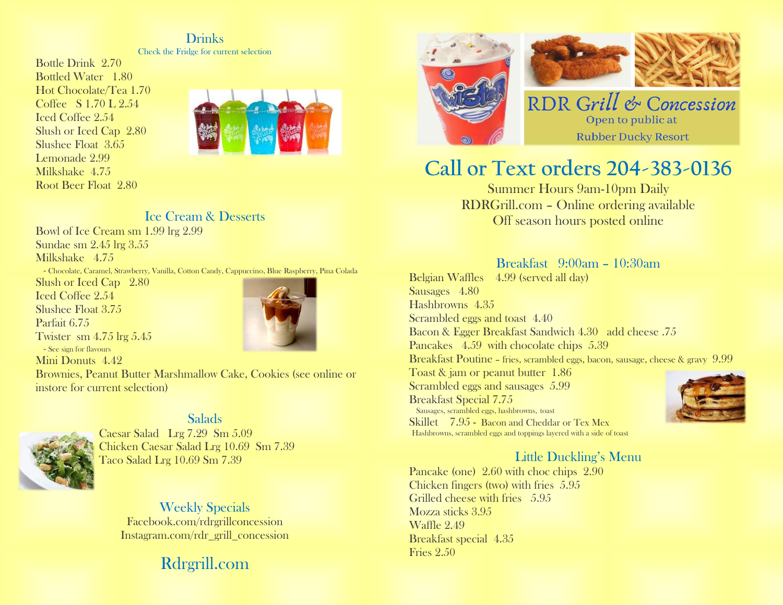#### **Drinks**

Check the Fridge for current selection

Bottle Drink 2.70 Bottled Water 1.80 Hot Chocolate/Tea 1.70 Coffee S 1.70 L 2.54 Iced Coffee 2.54 Slush or Iced Cap 2.80 Slushee Float 3.65 Lemonade 2.99 Milkshake 4.75 Root Beer Float 2.80



#### Ice Cream & Desserts

Bowl of Ice Cream sm 1.99 lrg 2.99 Sundae sm 2.45 lrg 3.55 Milkshake 4.75 - Chocolate, Caramel, Strawberry, Vanilla, Cotton Candy, Cappuccino, Blue Raspberry, Pina Colada Slush or Iced Cap 2.80 Iced Coffee 2.54 Slushee Float 3.75 Parfait 6.75 Twister sm 4.75 lrg 5.45 - See sign for flavours Mini Donuts 4.42 Brownies, Peanut Butter Marshmallow Cake, Cookies (see online or instore for current selection)

### **Salads**



Caesar Salad Lrg 7.29 Sm 5.09 Chicken Caesar Salad Lrg 10.69 Sm 7.39 Taco Salad Lrg 10.69 Sm 7.39

> Weekly Specials Facebook.com/rdrgrillconcession Instagram.com/rdr\_grill\_concession

## Rdrgrill.com



# **Call or Text orders 204-383-0136**

Summer Hours 9am-10pm Daily RDRGrill.com – Online ordering available Off season hours posted online

#### Breakfast 9:00am – 10:30am

Belgian Waffles 4.99 (served all day) Sausages 4.80 Hashbrowns 4.35 Scrambled eggs and toast 4.40 Bacon & Egger Breakfast Sandwich 4.30 add cheese .75 Pancakes 4.59 with chocolate chips 5.39 Breakfast Poutine – fries, scrambled eggs, bacon, sausage, cheese & gravy 9.99 Toast & jam or peanut butter 1.86 Scrambled eggs and sausages 5.99 Breakfast Special 7.75 Sausages, scrambled eggs, hashbrowns, toast Skillet 7.95 - Bacon and Cheddar or Tex Mex Hashbrowns, scrambled eggs and toppings layered with a side of toast

### Little Duckling's Menu

Pancake (one) 2.60 with choc chips 2.90 Chicken fingers (two) with fries 5.95 Grilled cheese with fries 5.95 Mozza sticks 3.95 Waffle 2.49 Breakfast special 4.35 Fries 2.50